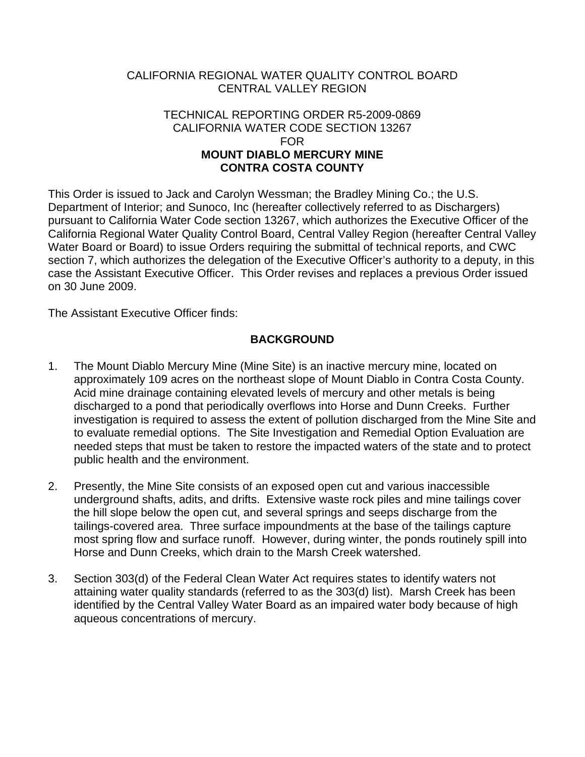# CALIFORNIA REGIONAL WATER QUALITY CONTROL BOARD CENTRAL VALLEY REGION

#### TECHNICAL REPORTING ORDER R5-2009-0869 CALIFORNIA WATER CODE SECTION 13267 FOR **MOUNT DIABLO MERCURY MINE CONTRA COSTA COUNTY**

This Order is issued to Jack and Carolyn Wessman; the Bradley Mining Co.; the U.S. Department of Interior; and Sunoco, Inc (hereafter collectively referred to as Dischargers) pursuant to California Water Code section 13267, which authorizes the Executive Officer of the California Regional Water Quality Control Board, Central Valley Region (hereafter Central Valley Water Board or Board) to issue Orders requiring the submittal of technical reports, and CWC section 7, which authorizes the delegation of the Executive Officer's authority to a deputy, in this case the Assistant Executive Officer. This Order revises and replaces a previous Order issued on 30 June 2009.

The Assistant Executive Officer finds:

# **BACKGROUND**

- 1. The Mount Diablo Mercury Mine (Mine Site) is an inactive mercury mine, located on approximately 109 acres on the northeast slope of Mount Diablo in Contra Costa County. Acid mine drainage containing elevated levels of mercury and other metals is being discharged to a pond that periodically overflows into Horse and Dunn Creeks. Further investigation is required to assess the extent of pollution discharged from the Mine Site and to evaluate remedial options. The Site Investigation and Remedial Option Evaluation are needed steps that must be taken to restore the impacted waters of the state and to protect public health and the environment.
- 2. Presently, the Mine Site consists of an exposed open cut and various inaccessible underground shafts, adits, and drifts. Extensive waste rock piles and mine tailings cover the hill slope below the open cut, and several springs and seeps discharge from the tailings-covered area. Three surface impoundments at the base of the tailings capture most spring flow and surface runoff. However, during winter, the ponds routinely spill into Horse and Dunn Creeks, which drain to the Marsh Creek watershed.
- 3. Section 303(d) of the Federal Clean Water Act requires states to identify waters not attaining water quality standards (referred to as the 303(d) list). Marsh Creek has been identified by the Central Valley Water Board as an impaired water body because of high aqueous concentrations of mercury.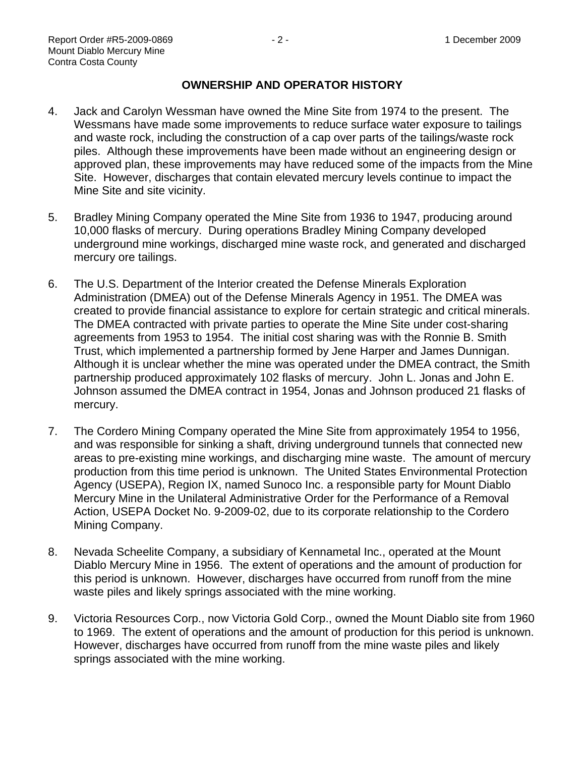## **OWNERSHIP AND OPERATOR HISTORY**

- 4. Jack and Carolyn Wessman have owned the Mine Site from 1974 to the present. The Wessmans have made some improvements to reduce surface water exposure to tailings and waste rock, including the construction of a cap over parts of the tailings/waste rock piles. Although these improvements have been made without an engineering design or approved plan, these improvements may have reduced some of the impacts from the Mine Site. However, discharges that contain elevated mercury levels continue to impact the Mine Site and site vicinity.
- 5. Bradley Mining Company operated the Mine Site from 1936 to 1947, producing around 10,000 flasks of mercury. During operations Bradley Mining Company developed underground mine workings, discharged mine waste rock, and generated and discharged mercury ore tailings.
- 6. The U.S. Department of the Interior created the Defense Minerals Exploration Administration (DMEA) out of the Defense Minerals Agency in 1951. The DMEA was created to provide financial assistance to explore for certain strategic and critical minerals. The DMEA contracted with private parties to operate the Mine Site under cost-sharing agreements from 1953 to 1954. The initial cost sharing was with the Ronnie B. Smith Trust, which implemented a partnership formed by Jene Harper and James Dunnigan. Although it is unclear whether the mine was operated under the DMEA contract, the Smith partnership produced approximately 102 flasks of mercury. John L. Jonas and John E. Johnson assumed the DMEA contract in 1954, Jonas and Johnson produced 21 flasks of mercury.
- 7. The Cordero Mining Company operated the Mine Site from approximately 1954 to 1956, and was responsible for sinking a shaft, driving underground tunnels that connected new areas to pre-existing mine workings, and discharging mine waste. The amount of mercury production from this time period is unknown. The United States Environmental Protection Agency (USEPA), Region IX, named Sunoco Inc. a responsible party for Mount Diablo Mercury Mine in the Unilateral Administrative Order for the Performance of a Removal Action, USEPA Docket No. 9-2009-02, due to its corporate relationship to the Cordero Mining Company.
- 8. Nevada Scheelite Company, a subsidiary of Kennametal Inc., operated at the Mount Diablo Mercury Mine in 1956. The extent of operations and the amount of production for this period is unknown. However, discharges have occurred from runoff from the mine waste piles and likely springs associated with the mine working.
- 9. Victoria Resources Corp., now Victoria Gold Corp., owned the Mount Diablo site from 1960 to 1969. The extent of operations and the amount of production for this period is unknown. However, discharges have occurred from runoff from the mine waste piles and likely springs associated with the mine working.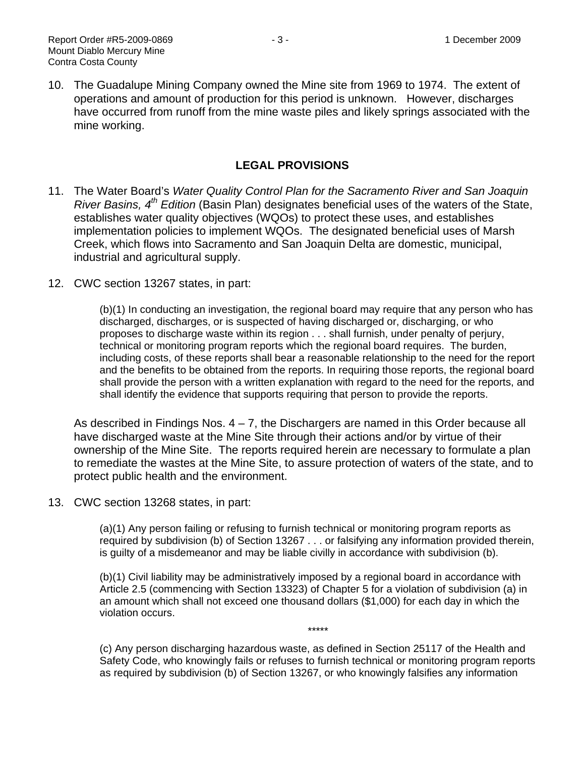10. The Guadalupe Mining Company owned the Mine site from 1969 to 1974. The extent of operations and amount of production for this period is unknown. However, discharges have occurred from runoff from the mine waste piles and likely springs associated with the mine working.

### **LEGAL PROVISIONS**

- 11. The Water Board's *Water Quality Control Plan for the Sacramento River and San Joaquin River Basins, 4th Edition* (Basin Plan) designates beneficial uses of the waters of the State, establishes water quality objectives (WQOs) to protect these uses, and establishes implementation policies to implement WQOs. The designated beneficial uses of Marsh Creek, which flows into Sacramento and San Joaquin Delta are domestic, municipal, industrial and agricultural supply.
- 12. CWC section 13267 states, in part:

(b)(1) In conducting an investigation, the regional board may require that any person who has discharged, discharges, or is suspected of having discharged or, discharging, or who proposes to discharge waste within its region . . . shall furnish, under penalty of perjury, technical or monitoring program reports which the regional board requires. The burden, including costs, of these reports shall bear a reasonable relationship to the need for the report and the benefits to be obtained from the reports. In requiring those reports, the regional board shall provide the person with a written explanation with regard to the need for the reports, and shall identify the evidence that supports requiring that person to provide the reports.

As described in Findings Nos. 4 – 7, the Dischargers are named in this Order because all have discharged waste at the Mine Site through their actions and/or by virtue of their ownership of the Mine Site. The reports required herein are necessary to formulate a plan to remediate the wastes at the Mine Site, to assure protection of waters of the state, and to protect public health and the environment.

13. CWC section 13268 states, in part:

(a)(1) Any person failing or refusing to furnish technical or monitoring program reports as required by subdivision (b) of Section 13267 . . . or falsifying any information provided therein, is guilty of a misdemeanor and may be liable civilly in accordance with subdivision (b).

(b)(1) Civil liability may be administratively imposed by a regional board in accordance with Article 2.5 (commencing with Section 13323) of Chapter 5 for a violation of subdivision (a) in an amount which shall not exceed one thousand dollars (\$1,000) for each day in which the violation occurs.

(c) Any person discharging hazardous waste, as defined in Section 25117 of the Health and Safety Code, who knowingly fails or refuses to furnish technical or monitoring program reports as required by subdivision (b) of Section 13267, or who knowingly falsifies any information

\*\*\*\*\*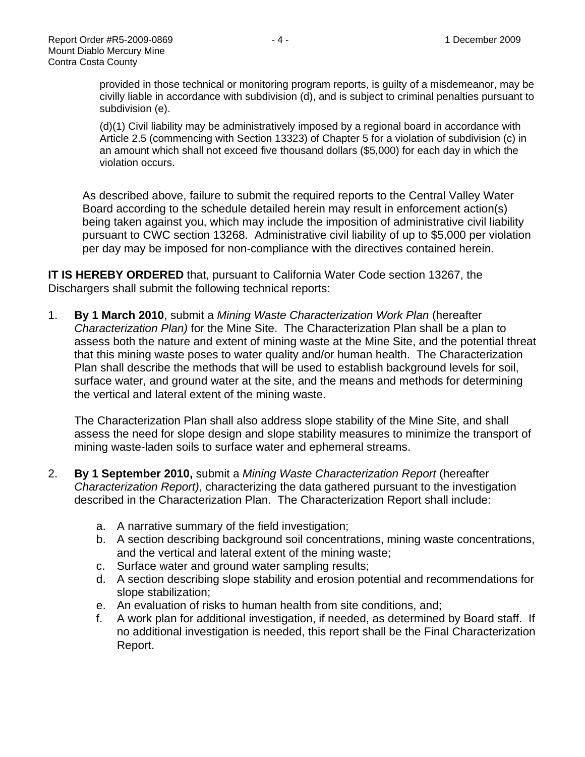provided in those technical or monitoring program reports, is guilty of a misdemeanor, may be civilly liable in accordance with subdivision (d), and is subject to criminal penalties pursuant to subdivision (e).

(d)(1) Civil liability may be administratively imposed by a regional board in accordance with Article 2.5 (commencing with Section 13323) of Chapter 5 for a violation of subdivision (c) in an amount which shall not exceed five thousand dollars (\$5,000) for each day in which the violation occurs.

As described above, failure to submit the required reports to the Central Valley Water Board according to the schedule detailed herein may result in enforcement action(s) being taken against you, which may include the imposition of administrative civil liability pursuant to CWC section 13268. Administrative civil liability of up to \$5,000 per violation per day may be imposed for non-compliance with the directives contained herein.

**IT IS HEREBY ORDERED** that, pursuant to California Water Code section 13267, the Dischargers shall submit the following technical reports:

1. **By 1 March 2010**, submit a *Mining Waste Characterization Work Plan* (hereafter *Characterization Plan)* for the Mine Site. The Characterization Plan shall be a plan to assess both the nature and extent of mining waste at the Mine Site, and the potential threat that this mining waste poses to water quality and/or human health. The Characterization Plan shall describe the methods that will be used to establish background levels for soil, surface water, and ground water at the site, and the means and methods for determining the vertical and lateral extent of the mining waste.

The Characterization Plan shall also address slope stability of the Mine Site, and shall assess the need for slope design and slope stability measures to minimize the transport of mining waste-laden soils to surface water and ephemeral streams.

- 2. **By 1 September 2010,** submit a *Mining Waste Characterization Report* (hereafter *Characterization Report)*, characterizing the data gathered pursuant to the investigation described in the Characterization Plan. The Characterization Report shall include:
	- a. A narrative summary of the field investigation;
	- b. A section describing background soil concentrations, mining waste concentrations, and the vertical and lateral extent of the mining waste;
	- c. Surface water and ground water sampling results;
	- d. A section describing slope stability and erosion potential and recommendations for slope stabilization;
	- e. An evaluation of risks to human health from site conditions, and;
	- f. A work plan for additional investigation, if needed, as determined by Board staff. If no additional investigation is needed, this report shall be the Final Characterization Report.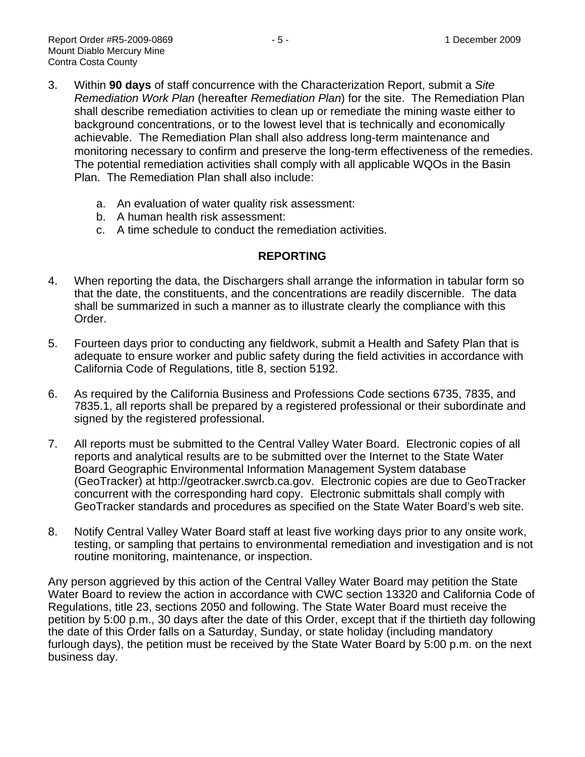- 3. Within **90 days** of staff concurrence with the Characterization Report, submit a *Site Remediation Work Plan* (hereafter *Remediation Plan*) for the site. The Remediation Plan shall describe remediation activities to clean up or remediate the mining waste either to background concentrations, or to the lowest level that is technically and economically achievable. The Remediation Plan shall also address long-term maintenance and monitoring necessary to confirm and preserve the long-term effectiveness of the remedies. The potential remediation activities shall comply with all applicable WQOs in the Basin Plan. The Remediation Plan shall also include:
	- a. An evaluation of water quality risk assessment:
	- b. A human health risk assessment:
	- c. A time schedule to conduct the remediation activities.

## **REPORTING**

- 4. When reporting the data, the Dischargers shall arrange the information in tabular form so that the date, the constituents, and the concentrations are readily discernible. The data shall be summarized in such a manner as to illustrate clearly the compliance with this Order.
- 5. Fourteen days prior to conducting any fieldwork, submit a Health and Safety Plan that is adequate to ensure worker and public safety during the field activities in accordance with California Code of Regulations, title 8, section 5192.
- 6. As required by the California Business and Professions Code sections 6735, 7835, and 7835.1, all reports shall be prepared by a registered professional or their subordinate and signed by the registered professional.
- 7. All reports must be submitted to the Central Valley Water Board. Electronic copies of all reports and analytical results are to be submitted over the Internet to the State Water Board Geographic Environmental Information Management System database (GeoTracker) at [http://geotracker.swrcb.ca.gov.](http://geotracker.swrcb.ca.gov/) Electronic copies are due to GeoTracker concurrent with the corresponding hard copy. Electronic submittals shall comply with GeoTracker standards and procedures as specified on the State Water Board's web site.
- 8. Notify Central Valley Water Board staff at least five working days prior to any onsite work, testing, or sampling that pertains to environmental remediation and investigation and is not routine monitoring, maintenance, or inspection.

Any person aggrieved by this action of the Central Valley Water Board may petition the State Water Board to review the action in accordance with CWC section 13320 and California Code of Regulations, title 23, sections 2050 and following. The State Water Board must receive the petition by 5:00 p.m., 30 days after the date of this Order, except that if the thirtieth day following the date of this Order falls on a Saturday, Sunday, or state holiday (including mandatory furlough days), the petition must be received by the State Water Board by 5:00 p.m. on the next business day.